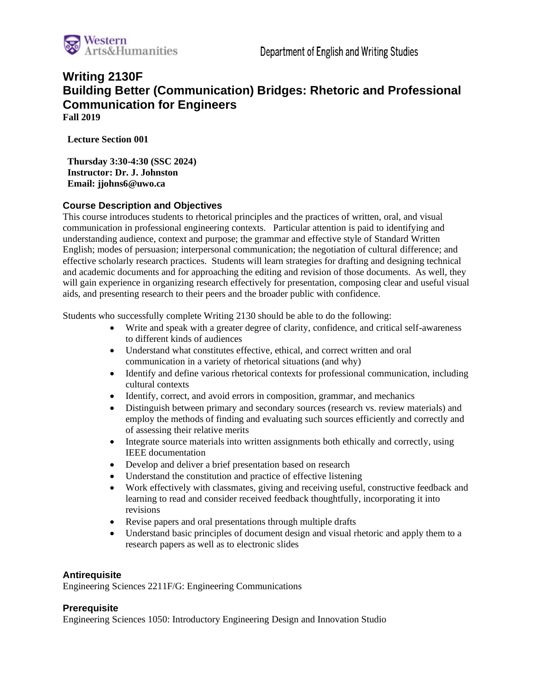

# **Writing 2130F Building Better (Communication) Bridges: Rhetoric and Professional Communication for Engineers Fall 2019**

**Lecture Section 001**

**Thursday 3:30-4:30 (SSC 2024) Instructor: Dr. J. Johnston Email: jjohns6@uwo.ca**

# **Course Description and Objectives**

This course introduces students to rhetorical principles and the practices of written, oral, and visual communication in professional engineering contexts. Particular attention is paid to identifying and understanding audience, context and purpose; the grammar and effective style of Standard Written English; modes of persuasion; interpersonal communication; the negotiation of cultural difference; and effective scholarly research practices. Students will learn strategies for drafting and designing technical and academic documents and for approaching the editing and revision of those documents. As well, they will gain experience in organizing research effectively for presentation, composing clear and useful visual aids, and presenting research to their peers and the broader public with confidence.

Students who successfully complete Writing 2130 should be able to do the following:

- Write and speak with a greater degree of clarity, confidence, and critical self-awareness to different kinds of audiences
- Understand what constitutes effective, ethical, and correct written and oral communication in a variety of rhetorical situations (and why)
- Identify and define various rhetorical contexts for professional communication, including cultural contexts
- Identify, correct, and avoid errors in composition, grammar, and mechanics
- Distinguish between primary and secondary sources (research vs. review materials) and employ the methods of finding and evaluating such sources efficiently and correctly and of assessing their relative merits
- Integrate source materials into written assignments both ethically and correctly, using IEEE documentation
- Develop and deliver a brief presentation based on research
- Understand the constitution and practice of effective listening
- Work effectively with classmates, giving and receiving useful, constructive feedback and learning to read and consider received feedback thoughtfully, incorporating it into revisions
- Revise papers and oral presentations through multiple drafts
- Understand basic principles of document design and visual rhetoric and apply them to a research papers as well as to electronic slides

#### **Antirequisite**

Engineering Sciences 2211F/G: Engineering Communications

#### **Prerequisite**

Engineering Sciences 1050: Introductory Engineering Design and Innovation Studio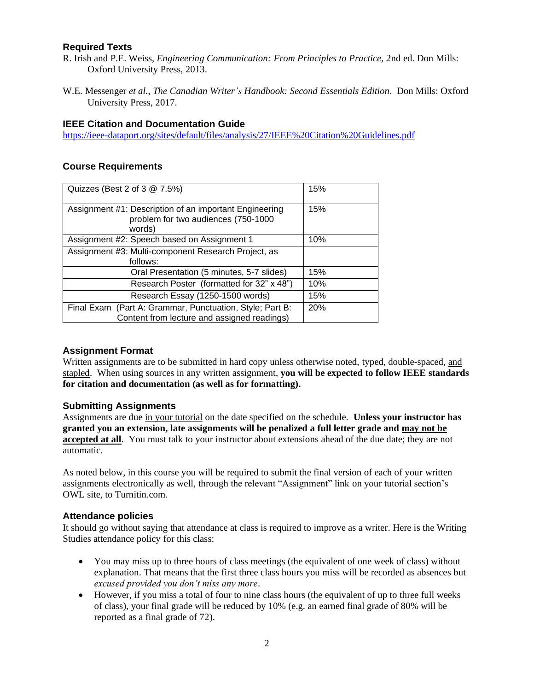# **Required Texts**

- R. Irish and P.E. Weiss, *Engineering Communication: From Principles to Practice,* 2nd ed. Don Mills: Oxford University Press, 2013.
- W.E. Messenger *et al.*, *The Canadian Writer's Handbook: Second Essentials Edition*. Don Mills: Oxford University Press, 2017.

# **IEEE Citation and Documentation Guide**

<https://ieee-dataport.org/sites/default/files/analysis/27/IEEE%20Citation%20Guidelines.pdf>

## **Course Requirements**

| Quizzes (Best 2 of 3 @ 7.5%)                                                                            | 15% |
|---------------------------------------------------------------------------------------------------------|-----|
| Assignment #1: Description of an important Engineering<br>problem for two audiences (750-1000<br>words) | 15% |
| Assignment #2: Speech based on Assignment 1                                                             | 10% |
| Assignment #3: Multi-component Research Project, as<br>follows:                                         |     |
| Oral Presentation (5 minutes, 5-7 slides)                                                               | 15% |
| Research Poster (formatted for 32" x 48")                                                               | 10% |
| Research Essay (1250-1500 words)                                                                        | 15% |
| Final Exam (Part A: Grammar, Punctuation, Style; Part B:<br>Content from lecture and assigned readings) | 20% |

## **Assignment Format**

Written assignments are to be submitted in hard copy unless otherwise noted, typed, double-spaced, and stapled. When using sources in any written assignment, **you will be expected to follow IEEE standards for citation and documentation (as well as for formatting).**

#### **Submitting Assignments**

Assignments are due in your tutorial on the date specified on the schedule. **Unless your instructor has granted you an extension, late assignments will be penalized a full letter grade and may not be accepted at all**. You must talk to your instructor about extensions ahead of the due date; they are not automatic.

As noted below, in this course you will be required to submit the final version of each of your written assignments electronically as well, through the relevant "Assignment" link on your tutorial section's OWL site, to Turnitin.com.

#### **Attendance policies**

It should go without saying that attendance at class is required to improve as a writer. Here is the Writing Studies attendance policy for this class:

- You may miss up to three hours of class meetings (the equivalent of one week of class) without explanation. That means that the first three class hours you miss will be recorded as absences but *excused provided you don't miss any more*.
- However, if you miss a total of four to nine class hours (the equivalent of up to three full weeks of class), your final grade will be reduced by 10% (e.g. an earned final grade of 80% will be reported as a final grade of 72).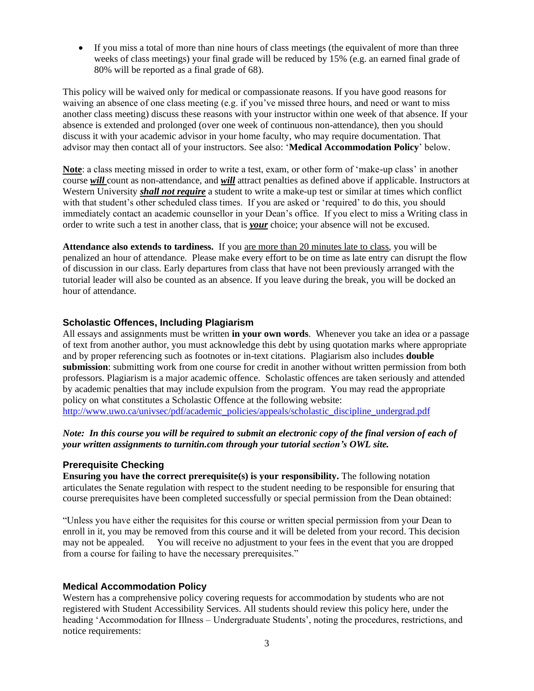• If you miss a total of more than nine hours of class meetings (the equivalent of more than three weeks of class meetings) your final grade will be reduced by 15% (e.g. an earned final grade of 80% will be reported as a final grade of 68).

This policy will be waived only for medical or compassionate reasons. If you have good reasons for waiving an absence of one class meeting (e.g. if you've missed three hours, and need or want to miss another class meeting) discuss these reasons with your instructor within one week of that absence. If your absence is extended and prolonged (over one week of continuous non-attendance), then you should discuss it with your academic advisor in your home faculty, who may require documentation. That advisor may then contact all of your instructors. See also: '**Medical Accommodation Policy**' below.

**Note**: a class meeting missed in order to write a test, exam, or other form of 'make-up class' in another course *will* count as non-attendance, and *will* attract penalties as defined above if applicable. Instructors at Western University *shall not require* a student to write a make-up test or similar at times which conflict with that student's other scheduled class times. If you are asked or 'required' to do this, you should immediately contact an academic counsellor in your Dean's office. If you elect to miss a Writing class in order to write such a test in another class, that is *your* choice; your absence will not be excused.

**Attendance also extends to tardiness.** If you are more than 20 minutes late to class, you will be penalized an hour of attendance. Please make every effort to be on time as late entry can disrupt the flow of discussion in our class. Early departures from class that have not been previously arranged with the tutorial leader will also be counted as an absence. If you leave during the break, you will be docked an hour of attendance.

# **Scholastic Offences, Including Plagiarism**

All essays and assignments must be written **in your own words**. Whenever you take an idea or a passage of text from another author, you must acknowledge this debt by using quotation marks where appropriate and by proper referencing such as footnotes or in-text citations. Plagiarism also includes **double submission**: submitting work from one course for credit in another without written permission from both professors. Plagiarism is a major academic offence. Scholastic offences are taken seriously and attended by academic penalties that may include expulsion from the program. You may read the appropriate policy on what constitutes a Scholastic Offence at the following website: [http://www.uwo.ca/univsec/pdf/academic\\_policies/appeals/scholastic\\_discipline\\_undergrad.pdf](http://www.uwo.ca/univsec/pdf/academic_policies/appeals/scholastic_discipline_undergrad.pdf)

# *Note: In this course you will be required to submit an electronic copy of the final version of each of your written assignments to turnitin.com through your tutorial section's OWL site.*

#### **Prerequisite Checking**

**Ensuring you have the correct prerequisite(s) is your responsibility.** The following notation articulates the Senate regulation with respect to the student needing to be responsible for ensuring that course prerequisites have been completed successfully or special permission from the Dean obtained:

"Unless you have either the requisites for this course or written special permission from your Dean to enroll in it, you may be removed from this course and it will be deleted from your record. This decision may not be appealed. You will receive no adjustment to your fees in the event that you are dropped from a course for failing to have the necessary prerequisites."

# **Medical Accommodation Policy**

Western has a comprehensive policy covering requests for accommodation by students who are not registered with Student Accessibility Services. All students should review this policy here, under the heading 'Accommodation for Illness – Undergraduate Students', noting the procedures, restrictions, and notice requirements: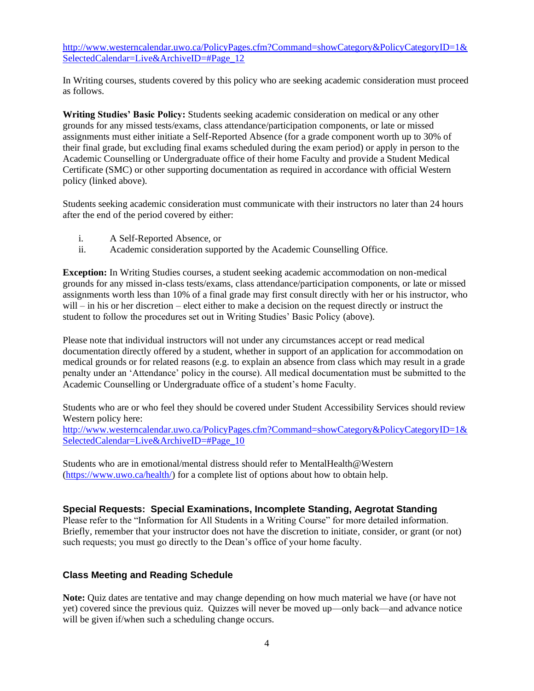[http://www.westerncalendar.uwo.ca/PolicyPages.cfm?Command=showCategory&PolicyCategoryID=1&](http://www.westerncalendar.uwo.ca/PolicyPages.cfm?Command=showCategory&PolicyCategoryID=1&SelectedCalendar=Live&ArchiveID=#Page_12) [SelectedCalendar=Live&ArchiveID=#Page\\_12](http://www.westerncalendar.uwo.ca/PolicyPages.cfm?Command=showCategory&PolicyCategoryID=1&SelectedCalendar=Live&ArchiveID=#Page_12)

In Writing courses, students covered by this policy who are seeking academic consideration must proceed as follows.

**Writing Studies' Basic Policy:** Students seeking academic consideration on medical or any other grounds for any missed tests/exams, class attendance/participation components, or late or missed assignments must either initiate a Self-Reported Absence (for a grade component worth up to 30% of their final grade, but excluding final exams scheduled during the exam period) or apply in person to the Academic Counselling or Undergraduate office of their home Faculty and provide a Student Medical Certificate (SMC) or other supporting documentation as required in accordance with official Western policy (linked above).

Students seeking academic consideration must communicate with their instructors no later than 24 hours after the end of the period covered by either:

- i. A Self-Reported Absence, or
- ii. Academic consideration supported by the Academic Counselling Office.

**Exception:** In Writing Studies courses, a student seeking academic accommodation on non-medical grounds for any missed in-class tests/exams, class attendance/participation components, or late or missed assignments worth less than 10% of a final grade may first consult directly with her or his instructor, who will – in his or her discretion – elect either to make a decision on the request directly or instruct the student to follow the procedures set out in Writing Studies' Basic Policy (above).

Please note that individual instructors will not under any circumstances accept or read medical documentation directly offered by a student, whether in support of an application for accommodation on medical grounds or for related reasons (e.g. to explain an absence from class which may result in a grade penalty under an 'Attendance' policy in the course). All medical documentation must be submitted to the Academic Counselling or Undergraduate office of a student's home Faculty.

Students who are or who feel they should be covered under Student Accessibility Services should review Western policy here:

[http://www.westerncalendar.uwo.ca/PolicyPages.cfm?Command=showCategory&PolicyCategoryID=1&](http://www.westerncalendar.uwo.ca/PolicyPages.cfm?Command=showCategory&PolicyCategoryID=1&SelectedCalendar=Live&ArchiveID=#Page_10) [SelectedCalendar=Live&ArchiveID=#Page\\_10](http://www.westerncalendar.uwo.ca/PolicyPages.cfm?Command=showCategory&PolicyCategoryID=1&SelectedCalendar=Live&ArchiveID=#Page_10)

Students who are in emotional/mental distress should refer to MentalHealth@Western [\(https://www.uwo.ca/health/\)](https://www.uwo.ca/health/) for a complete list of options about how to obtain help.

#### **Special Requests: Special Examinations, Incomplete Standing, Aegrotat Standing**

Please refer to the "Information for All Students in a Writing Course" for more detailed information. Briefly, remember that your instructor does not have the discretion to initiate, consider, or grant (or not) such requests; you must go directly to the Dean's office of your home faculty.

#### **Class Meeting and Reading Schedule**

**Note:** Quiz dates are tentative and may change depending on how much material we have (or have not yet) covered since the previous quiz. Quizzes will never be moved up—only back—and advance notice will be given if/when such a scheduling change occurs.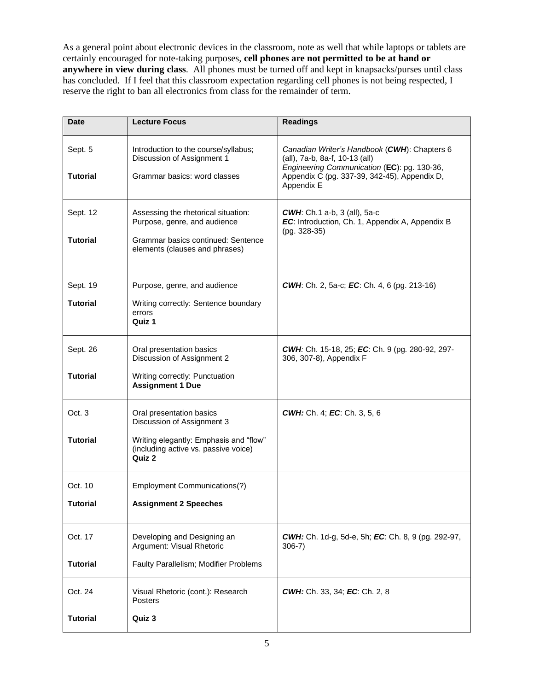As a general point about electronic devices in the classroom, note as well that while laptops or tablets are certainly encouraged for note-taking purposes, **cell phones are not permitted to be at hand or anywhere in view during class**. All phones must be turned off and kept in knapsacks/purses until class has concluded. If I feel that this classroom expectation regarding cell phones is not being respected, I reserve the right to ban all electronics from class for the remainder of term.

| <b>Date</b>                 | <b>Lecture Focus</b>                                                                                                                               | <b>Readings</b>                                                                                                                                                                             |
|-----------------------------|----------------------------------------------------------------------------------------------------------------------------------------------------|---------------------------------------------------------------------------------------------------------------------------------------------------------------------------------------------|
| Sept. 5<br><b>Tutorial</b>  | Introduction to the course/syllabus;<br>Discussion of Assignment 1<br>Grammar basics: word classes                                                 | Canadian Writer's Handbook (CWH): Chapters 6<br>(all), 7a-b, 8a-f, 10-13 (all)<br>Engineering Communication (EC): pg. 130-36,<br>Appendix C (pg. 337-39, 342-45), Appendix D,<br>Appendix E |
| Sept. 12<br><b>Tutorial</b> | Assessing the rhetorical situation:<br>Purpose, genre, and audience<br>Grammar basics continued: Sentence<br>elements (clauses and phrases)        | <b>CWH:</b> Ch.1 a-b, 3 (all), 5a-c<br>EC: Introduction, Ch. 1, Appendix A, Appendix B<br>(pg. 328-35)                                                                                      |
| Sept. 19<br><b>Tutorial</b> | Purpose, genre, and audience<br>Writing correctly: Sentence boundary<br>errors<br>Quiz 1                                                           | <b>CWH:</b> Ch. 2, 5a-c; <b>EC:</b> Ch. 4, 6 (pg. 213-16)                                                                                                                                   |
| Sept. 26<br><b>Tutorial</b> | Oral presentation basics<br>Discussion of Assignment 2<br>Writing correctly: Punctuation<br><b>Assignment 1 Due</b>                                | CWH: Ch. 15-18, 25; EC: Ch. 9 (pg. 280-92, 297-<br>306, 307-8), Appendix F                                                                                                                  |
| Oct. 3<br><b>Tutorial</b>   | Oral presentation basics<br>Discussion of Assignment 3<br>Writing elegantly: Emphasis and "flow"<br>(including active vs. passive voice)<br>Quiz 2 | <b>CWH:</b> Ch. 4; <b>EC:</b> Ch. 3, 5, 6                                                                                                                                                   |
| Oct. 10<br><b>Tutorial</b>  | Employment Communications(?)<br><b>Assignment 2 Speeches</b>                                                                                       |                                                                                                                                                                                             |
| Oct. 17<br><b>Tutorial</b>  | Developing and Designing an<br>Argument: Visual Rhetoric<br>Faulty Parallelism; Modifier Problems                                                  | <b>CWH:</b> Ch. 1d-g, 5d-e, 5h; <b>EC</b> : Ch. 8, 9 (pg. 292-97,<br>$306-7)$                                                                                                               |
| Oct. 24<br><b>Tutorial</b>  | Visual Rhetoric (cont.): Research<br>Posters<br>Quiz 3                                                                                             | CWH: Ch. 33, 34; EC: Ch. 2, 8                                                                                                                                                               |